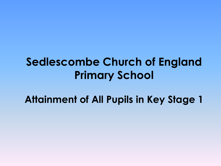# **Sedlescombe Church of England Primary School**

**Attainment of All Pupils in Key Stage 1**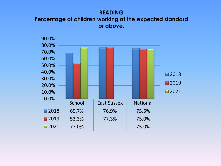### **READING Percentage of children working at the expected standard or above.**

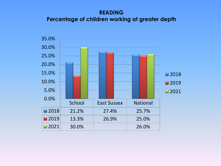## **READING Percentage of children working at greater depth**

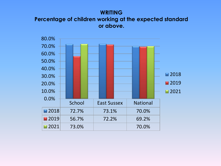### **WRITING Percentage of children working at the expected standard or above.**

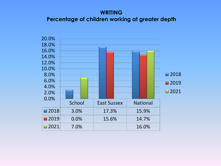### **WRITING Percentage of children working at greater depth**

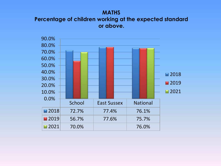### **MATHS Percentage of children working at the expected standard or above.**

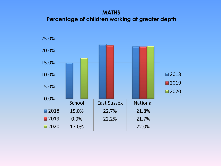# **MATHS Percentage of children working at greater depth**

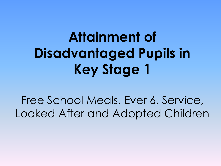# **Attainment of Disadvantaged Pupils in Key Stage 1**

Free School Meals, Ever 6, Service, Looked After and Adopted Children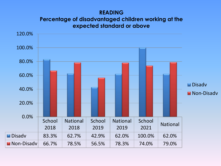### **READING**

### **Percentage of disadvantaged children working at the expected standard or above**

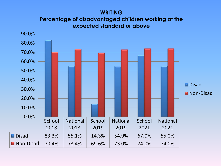### **WRITING**

**Percentage of disadvantaged children working at the expected standard or above**